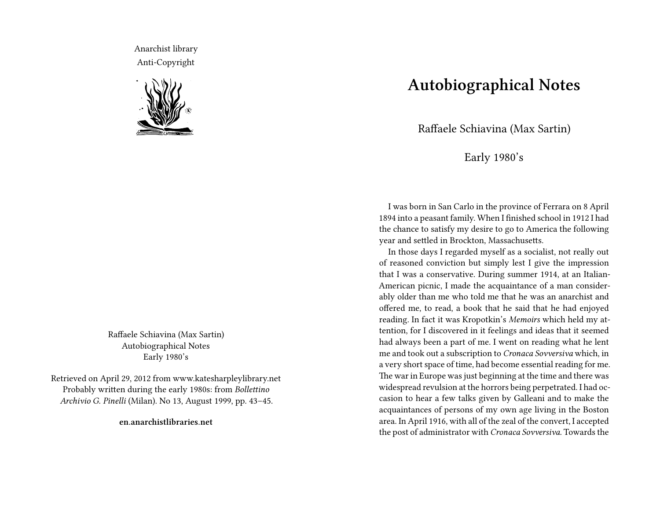Anarchist library Anti-Copyright



Raffaele Schiavina (Max Sartin) Autobiographical Notes Early 1980's

Retrieved on April 29, 2012 from www.katesharpleylibrary.net Probably written during the early 1980s: from *Bollettino Archivio G. Pinelli* (Milan). No 13, August 1999, pp. 43–45.

**en.anarchistlibraries.net**

## **Autobiographical Notes**

Raffaele Schiavina (Max Sartin)

Early 1980's

I was born in San Carlo in the province of Ferrara on 8 April 1894 into a peasant family. When I finished school in 1912 I had the chance to satisfy my desire to go to America the following year and settled in Brockton, Massachusetts.

In those days I regarded myself as a socialist, not really out of reasoned conviction but simply lest I give the impression that I was a conservative. During summer 1914, at an Italian-American picnic, I made the acquaintance of a man considerably older than me who told me that he was an anarchist and offered me, to read, a book that he said that he had enjoyed reading. In fact it was Kropotkin's *Memoirs* which held my attention, for I discovered in it feelings and ideas that it seemed had always been a part of me. I went on reading what he lent me and took out a subscription to *Cronaca Sovversiva* which, in a very short space of time, had become essential reading for me. The war in Europe was just beginning at the time and there was widespread revulsion at the horrors being perpetrated. I had occasion to hear a few talks given by Galleani and to make the acquaintances of persons of my own age living in the Boston area. In April 1916, with all of the zeal of the convert, I accepted the post of administrator with *Cronaca Sovversiva*. Towards the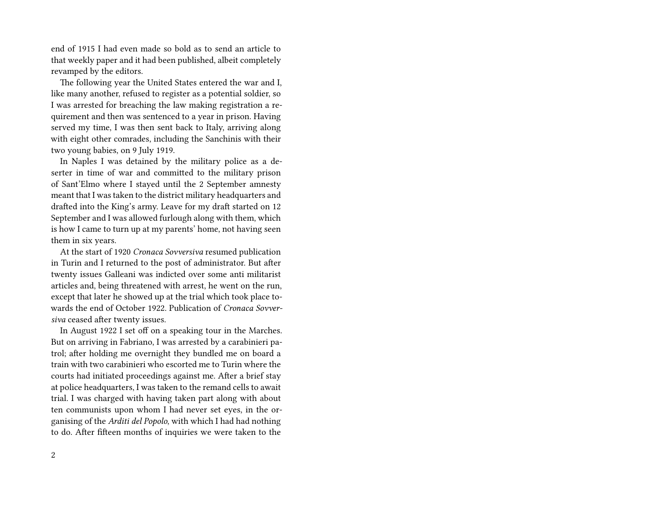end of 1915 I had even made so bold as to send an article to that weekly paper and it had been published, albeit completely revamped by the editors.

The following year the United States entered the war and I, like many another, refused to register as a potential soldier, so I was arrested for breaching the law making registration a requirement and then was sentenced to a year in prison. Having served my time, I was then sent back to Italy, arriving along with eight other comrades, including the Sanchinis with their two young babies, on 9 July 1919.

In Naples I was detained by the military police as a deserter in time of war and committed to the military prison of Sant'Elmo where I stayed until the 2 September amnesty meant that I was taken to the district military headquarters and drafted into the King's army. Leave for my draft started on 12 September and I was allowed furlough along with them, which is how I came to turn up at my parents' home, not having seen them in six years.

At the start of 1920 *Cronaca Sovversiva* resumed publication in Turin and I returned to the post of administrator. But after twenty issues Galleani was indicted over some anti militarist articles and, being threatened with arrest, he went on the run, except that later he showed up at the trial which took place towards the end of October 1922. Publication of *Cronaca Sovversiva* ceased after twenty issues.

In August 1922 I set off on a speaking tour in the Marches. But on arriving in Fabriano, I was arrested by a carabinieri patrol; after holding me overnight they bundled me on board a train with two carabinieri who escorted me to Turin where the courts had initiated proceedings against me. After a brief stay at police headquarters, I was taken to the remand cells to await trial. I was charged with having taken part along with about ten communists upon whom I had never set eyes, in the organising of the *Arditi del Popolo*, with which I had had nothing to do. After fifteen months of inquiries we were taken to the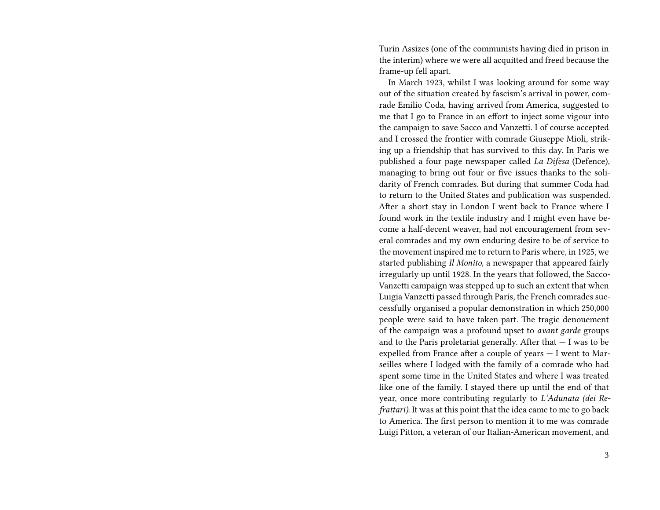Turin Assizes (one of the communists having died in prison in the interim) where we were all acquitted and freed because the frame-up fell apart.

In March 1923, whilst I was looking around for some way out of the situation created by fascism's arrival in power, comrade Emilio Coda, having arrived from America, suggested to me that I go to France in an effort to inject some vigour into the campaign to save Sacco and Vanzetti. I of course accepted and I crossed the frontier with comrade Giuseppe Mioli, striking up a friendship that has survived to this day. In Paris we published a four page newspaper called *La Difesa* (Defence), managing to bring out four or five issues thanks to the solidarity of French comrades. But during that summer Coda had to return to the United States and publication was suspended. After a short stay in London I went back to France where I found work in the textile industry and I might even have become a half-decent weaver, had not encouragement from several comrades and my own enduring desire to be of service to the movement inspired me to return to Paris where, in 1925, we started publishing *Il Monito*, a newspaper that appeared fairly irregularly up until 1928. In the years that followed, the Sacco-Vanzetti campaign was stepped up to such an extent that when Luigia Vanzetti passed through Paris, the French comrades successfully organised a popular demonstration in which 250,000 people were said to have taken part. The tragic denouement of the campaign was a profound upset to *avant garde* groups and to the Paris proletariat generally. After that  $-1$  was to be expelled from France after a couple of years — I went to Marseilles where I lodged with the family of a comrade who had spent some time in the United States and where I was treated like one of the family. I stayed there up until the end of that year, once more contributing regularly to *L'Adunata (dei Refrattari)*. It was at this point that the idea came to me to go back to America. The first person to mention it to me was comrade Luigi Pitton, a veteran of our Italian-American movement, and